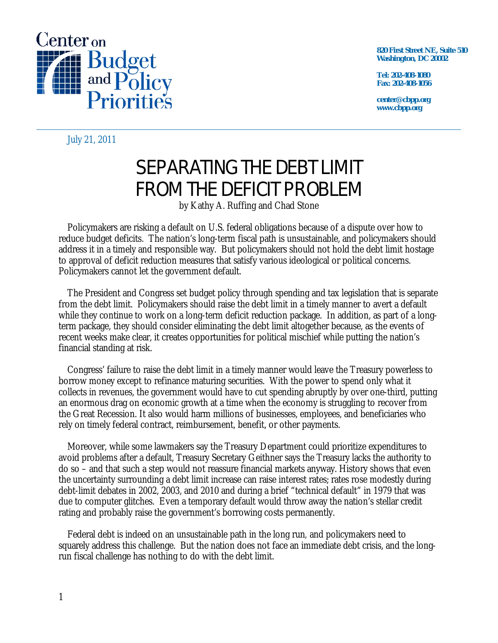

**820 First Street NE, Suite 510 Washington, DC 20002** 

**Tel: 202-408-1080 Fax: 202-408-1056** 

**center@cbpp.org www.cbpp.org** 

July 21, 2011

# SEPARATING THE DEBT LIMIT FROM THE DEFICIT PROBLEM

by Kathy A. Ruffing and Chad Stone

Policymakers are risking a default on U.S. federal obligations because of a dispute over how to reduce budget deficits. The nation's long-term fiscal path is unsustainable, and policymakers should address it in a timely and responsible way. But policymakers should not hold the debt limit hostage to approval of deficit reduction measures that satisfy various ideological or political concerns. Policymakers cannot let the government default.

The President and Congress set budget policy through spending and tax legislation that is separate from the debt limit. Policymakers should raise the debt limit in a timely manner to avert a default while they continue to work on a long-term deficit reduction package. In addition, as part of a longterm package, they should consider eliminating the debt limit altogether because, as the events of recent weeks make clear, it creates opportunities for political mischief while putting the nation's financial standing at risk.

Congress' failure to raise the debt limit in a timely manner would leave the Treasury powerless to borrow money except to refinance maturing securities. With the power to spend only what it collects in revenues, the government would have to cut spending abruptly by over one-third, putting an enormous drag on economic growth at a time when the economy is struggling to recover from the Great Recession. It also would harm millions of businesses, employees, and beneficiaries who rely on timely federal contract, reimbursement, benefit, or other payments.

Moreover, while some lawmakers say the Treasury Department could prioritize expenditures to avoid problems after a default, Treasury Secretary Geithner says the Treasury lacks the authority to do so – and that such a step would not reassure financial markets anyway. History shows that even the uncertainty surrounding a debt limit increase can raise interest rates; rates rose modestly during debt-limit debates in 2002, 2003, and 2010 and during a brief "technical default" in 1979 that was due to computer glitches. Even a temporary default would throw away the nation's stellar credit rating and probably raise the government's borrowing costs permanently.

Federal debt is indeed on an unsustainable path in the long run*,* and policymakers need to squarely address this challenge. But the nation does not face an immediate debt crisis, and the longrun fiscal challenge has nothing to do with the debt limit.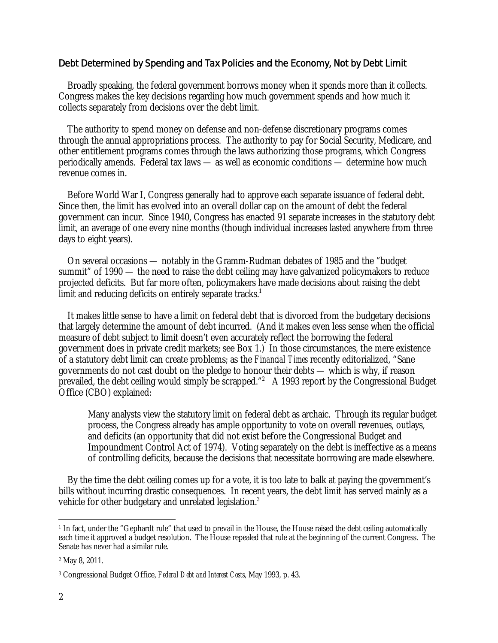# Debt Determined by Spending and Tax Policies and the Economy, Not by Debt Limit

Broadly speaking, the federal government borrows money when it spends more than it collects. Congress makes the key decisions regarding how much government spends and how much it collects separately from decisions over the debt limit.

The authority to spend money on defense and non-defense discretionary programs comes through the annual appropriations process. The authority to pay for Social Security, Medicare, and other entitlement programs comes through the laws authorizing those programs, which Congress periodically amends. Federal tax laws — as well as economic conditions — determine how much revenue comes in.

Before World War I, Congress generally had to approve each separate issuance of federal debt. Since then, the limit has evolved into an overall dollar cap on the amount of debt the federal government can incur. Since 1940, Congress has enacted 91 separate increases in the statutory debt limit, an average of one every nine months (though individual increases lasted anywhere from three days to eight years).

On several occasions — notably in the Gramm-Rudman debates of 1985 and the "budget summit" of 1990 — the need to raise the debt ceiling may have galvanized policymakers to reduce projected deficits. But far more often, policymakers have made decisions about raising the debt limit and reducing deficits on entirely separate tracks.<sup>1</sup>

It makes little sense to have a limit on federal debt that is divorced from the budgetary decisions that largely determine the amount of debt incurred. (And it makes even less sense when the official measure of debt subject to limit doesn't even accurately reflect the borrowing the federal government does in private credit markets; see Box 1.) In those circumstances, the mere existence of a statutory debt limit can create problems; as the *Financial Times* recently editorialized, "Sane governments do not cast doubt on the pledge to honour their debts — which is why, if reason prevailed, the debt ceiling would simply be scrapped."<sup>2</sup> A 1993 report by the Congressional Budget Office (CBO) explained:

Many analysts view the statutory limit on federal debt as archaic. Through its regular budget process, the Congress already has ample opportunity to vote on overall revenues, outlays, and deficits (an opportunity that did not exist before the Congressional Budget and Impoundment Control Act of 1974). Voting separately on the debt is ineffective as a means of controlling deficits, because the decisions that necessitate borrowing are made elsewhere.

By the time the debt ceiling comes up for a vote, it is too late to balk at paying the government's bills without incurring drastic consequences. In recent years, the debt limit has served mainly as a vehicle for other budgetary and unrelated legislation.<sup>3</sup>

 $\overline{a}$ <sup>1</sup> In fact, under the "Gephardt rule" that used to prevail in the House, the House raised the debt ceiling automatically each time it approved a budget resolution. The House repealed that rule at the beginning of the current Congress. The Senate has never had a similar rule.

<sup>2</sup> May 8, 2011.

<sup>3</sup> Congressional Budget Office, *Federal Debt and Interest Costs*, May 1993, p. 43.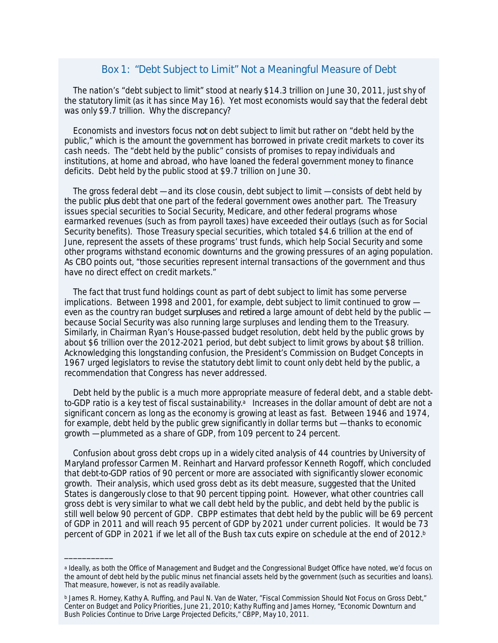### Box 1: "Debt Subject to Limit" Not a Meaningful Measure of Debt

The nation's "debt subject to limit" stood at nearly \$14.3 trillion on June 30, 2011, just shy of the statutory limit (as it has since May 16). Yet most economists would say that the federal debt was only \$9.7 trillion. Why the discrepancy?

Economists and investors focus *not* on debt subject to limit but rather on "debt held by the public," which is the amount the government has borrowed in private credit markets to cover its cash needs. The "debt held by the public" consists of promises to repay individuals and institutions, at home and abroad, who have loaned the federal government money to finance deficits. Debt held by the public stood at \$9.7 trillion on June 30.

The gross federal debt — and its close cousin, debt subject to limit — consists of debt held by the public *plus* debt that one part of the federal government owes another part. The Treasury issues special securities to Social Security, Medicare, and other federal programs whose earmarked revenues (such as from payroll taxes) have exceeded their outlays (such as for Social Security benefits). Those Treasury special securities, which totaled \$4.6 trillion at the end of June, represent the assets of these programs' trust funds, which help Social Security and some other programs withstand economic downturns and the growing pressures of an aging population. As CBO points out, "those securities represent internal transactions of the government and thus have no direct effect on credit markets."

The fact that trust fund holdings count as part of debt subject to limit has some perverse implications. Between 1998 and 2001, for example, debt subject to limit continued to grow even as the country ran budget *surpluses* and *retired* a large amount of debt held by the public because Social Security was also running large surpluses and lending them to the Treasury. Similarly, in Chairman Ryan's House-passed budget resolution, debt held by the public grows by about \$6 trillion over the 2012-2021 period, but debt subject to limit grows by about \$8 trillion. Acknowledging this longstanding confusion, the President's Commission on Budget Concepts in 1967 urged legislators to revise the statutory debt limit to count only debt held by the public, a recommendation that Congress has never addressed.

Debt held by the public is a much more appropriate measure of federal debt, and a stable debtto-GDP ratio is a key test of fiscal sustainability.<sup>a</sup> Increases in the dollar amount of debt are not a significant concern as long as the economy is growing at least as fast. Between 1946 and 1974, for example, debt held by the public grew significantly in dollar terms but — thanks to economic growth — plummeted as a share of GDP, from 109 percent to 24 percent.

Confusion about gross debt crops up in a widely cited analysis of 44 countries by University of Maryland professor Carmen M. Reinhart and Harvard professor Kenneth Rogoff, which concluded that debt-to-GDP ratios of 90 percent or more are associated with significantly slower economic growth. Their analysis, which used gross debt as its debt measure, suggested that the United States is dangerously close to that 90 percent tipping point. However, what other countries call gross debt is very similar to what we call debt held by the public, and debt held by the public is still well below 90 percent of GDP. CBPP estimates that debt held by the public will be 69 percent of GDP in 2011 and will reach 95 percent of GDP by 2021 under current policies. It would be 73 percent of GDP in 2021 if we let all of the Bush tax cuts expire on schedule at the end of 2012.<sup>b</sup>

\_\_\_\_\_\_\_\_\_\_\_

a Ideally, as both the Office of Management and Budget and the Congressional Budget Office have noted, we'd focus on the amount of debt held by the public minus net financial assets held by the government (such as securities and loans). That measure, however, is not as readily available.

<sup>&</sup>lt;sup>b</sup> James R. Horney, Kathy A. Ruffing, and Paul N. Van de Water, "Fiscal Commission Should Not Focus on Gross Debt," Center on Budget and Policy Priorities, June 21, 2010; Kathy Ruffing and James Horney, "Economic Downturn and Bush Policies Continue to Drive Large Projected Deficits," CBPP, May 10, 2011.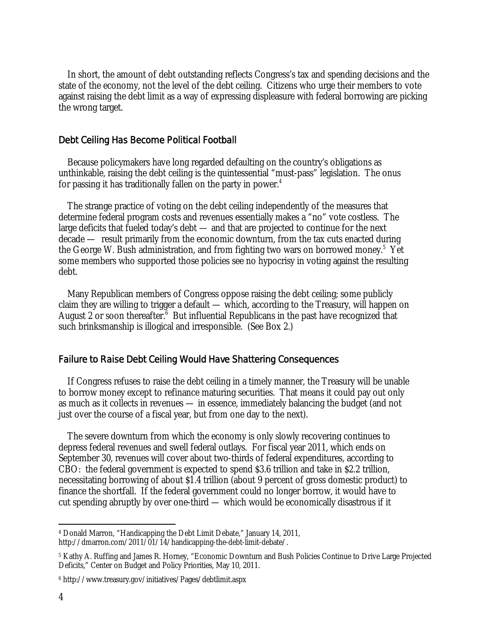In short, the amount of debt outstanding reflects Congress's tax and spending decisions and the state of the economy, not the level of the debt ceiling. Citizens who urge their members to vote against raising the debt limit as a way of expressing displeasure with federal borrowing are picking the wrong target.

#### Debt Ceiling Has Become Political Football

Because policymakers have long regarded defaulting on the country's obligations as unthinkable, raising the debt ceiling is the quintessential "must-pass" legislation. The onus for passing it has traditionally fallen on the party in power.<sup>4</sup>

The strange practice of voting on the debt ceiling independently of the measures that determine federal program costs and revenues essentially makes a "no" vote costless. The large deficits that fueled today's debt — and that are projected to continue for the next decade — result primarily from the economic downturn, from the tax cuts enacted during the George W. Bush administration, and from fighting two wars on borrowed money.<sup>5</sup> Yet some members who supported those policies see no hypocrisy in voting against the resulting debt.

Many Republican members of Congress oppose raising the debt ceiling; some publicly claim they are willing to trigger a default — which, according to the Treasury, will happen on August 2 or soon thereafter. $6$  But influential Republicans in the past have recognized that such brinksmanship is illogical and irresponsible. (See Box 2.)

#### Failure to Raise Debt Ceiling Would Have Shattering Consequences

If Congress refuses to raise the debt ceiling in a timely manner, the Treasury will be unable to borrow money except to refinance maturing securities. That means it could pay out only as much as it collects in revenues — in essence, immediately balancing the budget (and not just over the course of a fiscal year, but from one day to the next).

The severe downturn from which the economy is only slowly recovering continues to depress federal revenues and swell federal outlays. For fiscal year 2011, which ends on September 30, revenues will cover about two-thirds of federal expenditures, according to CBO: the federal government is expected to spend \$3.6 trillion and take in \$2.2 trillion, necessitating borrowing of about \$1.4 trillion (about 9 percent of gross domestic product) to finance the shortfall. If the federal government could no longer borrow, it would have to cut spending abruptly by over one-third — which would be economically disastrous if it

 $\overline{a}$ 4 Donald Marron, "Handicapping the Debt Limit Debate," January 14, 2011, http://dmarron.com/2011/01/14/handicapping-the-debt-limit-debate/.

<sup>5</sup> Kathy A. Ruffing and James R. Horney, "Economic Downturn and Bush Policies Continue to Drive Large Projected Deficits," Center on Budget and Policy Priorities, May 10, 2011.

<sup>6</sup> http://www.treasury.gov/initiatives/Pages/debtlimit.aspx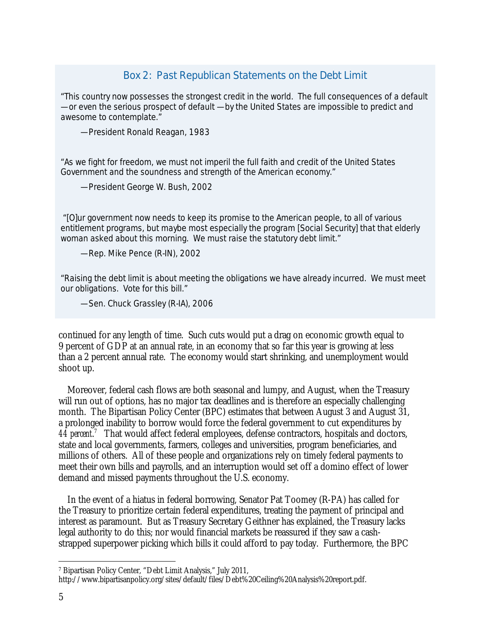# Box 2: Past Republican Statements on the Debt Limit

"This country now possesses the strongest credit in the world. The full consequences of a default — or even the serious prospect of default — by the United States are impossible to predict and awesome to contemplate."

— President Ronald Reagan, 1983

"As we fight for freedom, we must not imperil the full faith and credit of the United States Government and the soundness and strength of the American economy."

— President George W. Bush, 2002

 "[O]ur government now needs to keep its promise to the American people, to all of various entitlement programs, but maybe most especially the program [Social Security] that that elderly woman asked about this morning. We must raise the statutory debt limit."

— Rep. Mike Pence (R-IN), 2002

"Raising the debt limit is about meeting the obligations we have already incurred. We must meet our obligations. Vote for this bill."

— Sen. Chuck Grassley (R-IA), 2006

continued for any length of time. Such cuts would put a drag on economic growth equal to 9 percent of GDP at an annual rate, in an economy that so far this year is growing at less than a 2 percent annual rate. The economy would start shrinking, and unemployment would shoot up.

Moreover, federal cash flows are both seasonal and lumpy, and August, when the Treasury will run out of options, has no major tax deadlines and is therefore an especially challenging month. The Bipartisan Policy Center (BPC) estimates that between August 3 and August 31, a prolonged inability to borrow would force the federal government to cut expenditures by 44 percent.<sup>7</sup> That would affect federal employees, defense contractors, hospitals and doctors, state and local governments, farmers, colleges and universities, program beneficiaries, and millions of others. All of these people and organizations rely on timely federal payments to meet their own bills and payrolls, and an interruption would set off a domino effect of lower demand and missed payments throughout the U.S. economy.

In the event of a hiatus in federal borrowing, Senator Pat Toomey (R-PA) has called for the Treasury to prioritize certain federal expenditures, treating the payment of principal and interest as paramount. But as Treasury Secretary Geithner has explained, the Treasury lacks legal authority to do this; nor would financial markets be reassured if they saw a cashstrapped superpower picking which bills it could afford to pay today. Furthermore, the BPC

<sup>-</sup>7 Bipartisan Policy Center, "Debt Limit Analysis," July 2011,

http://www.bipartisanpolicy.org/sites/default/files/Debt%20Ceiling%20Analysis%20report.pdf.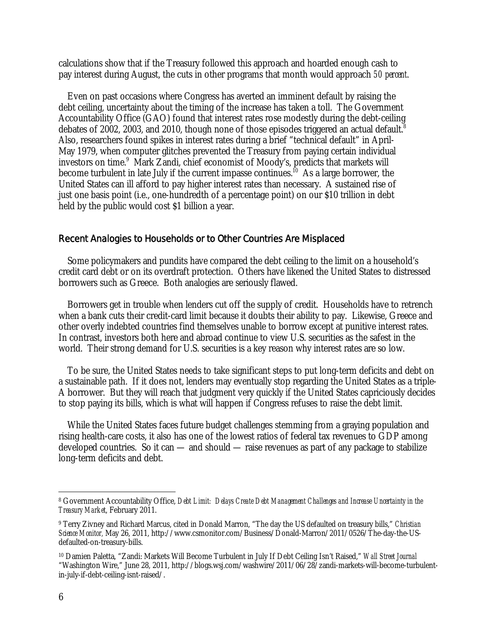calculations show that if the Treasury followed this approach and hoarded enough cash to pay interest during August, the cuts in other programs that month would approach *50 percent*.

Even on past occasions where Congress has averted an imminent default by raising the debt ceiling, uncertainty about the timing of the increase has taken a toll. The Government Accountability Office (GAO) found that interest rates rose modestly during the debt-ceiling debates of 2002, 2003, and 2010, though none of those episodes triggered an actual default.<sup>8</sup> Also, researchers found spikes in interest rates during a brief "technical default" in April-May 1979, when computer glitches prevented the Treasury from paying certain individual investors on time.<sup>9</sup> Mark Zandi, chief economist of Moody's, predicts that markets will become turbulent in late July if the current impasse continues.<sup>10</sup> As a large borrower, the United States can ill afford to pay higher interest rates than necessary. A sustained rise of just one basis point (i.e., one-hundredth of a percentage point) on our \$10 trillion in debt held by the public would cost \$1 billion a year.

#### Recent Analogies to Households or to Other Countries Are Misplaced

Some policymakers and pundits have compared the debt ceiling to the limit on a household's credit card debt or on its overdraft protection. Others have likened the United States to distressed borrowers such as Greece. Both analogies are seriously flawed.

Borrowers get in trouble when lenders cut off the supply of credit. Households have to retrench when a bank cuts their credit-card limit because it doubts their ability to pay. Likewise, Greece and other overly indebted countries find themselves unable to borrow except at punitive interest rates. In contrast, investors both here and abroad continue to view U.S. securities as the safest in the world. Their strong demand for U.S. securities is a key reason why interest rates are so low.

To be sure, the United States needs to take significant steps to put long-term deficits and debt on a sustainable path. If it does not, lenders may eventually stop regarding the United States as a triple-A borrower. But they will reach that judgment very quickly if the United States capriciously decides to stop paying its bills, which is what will happen if Congress refuses to raise the debt limit.

While the United States faces future budget challenges stemming from a graying population and rising health-care costs, it also has one of the lowest ratios of federal tax revenues to GDP among developed countries. So it can — and should — raise revenues as part of any package to stabilize long-term deficits and debt.

 $\overline{a}$ 

<sup>8</sup> Government Accountability Office, *Debt Limit: Delays Create Debt Management Challenges and Increase Uncertainty in the Treasury Market*, February 2011.

<sup>9</sup> Terry Zivney and Richard Marcus, cited in Donald Marron, "The day the US defaulted on treasury bills," *Christian Science Monitor,* May 26, 2011, http://www.csmonitor.com/Business/Donald-Marron/2011/0526/The-day-the-USdefaulted-on-treasury-bills.

<sup>10</sup> Damien Paletta, "Zandi: Markets Will Become Turbulent in July If Debt Ceiling Isn't Raised," *Wall Street Journal* "Washington Wire," June 28, 2011, http://blogs.wsj.com/washwire/2011/06/28/zandi-markets-will-become-turbulentin-july-if-debt-ceiling-isnt-raised/.